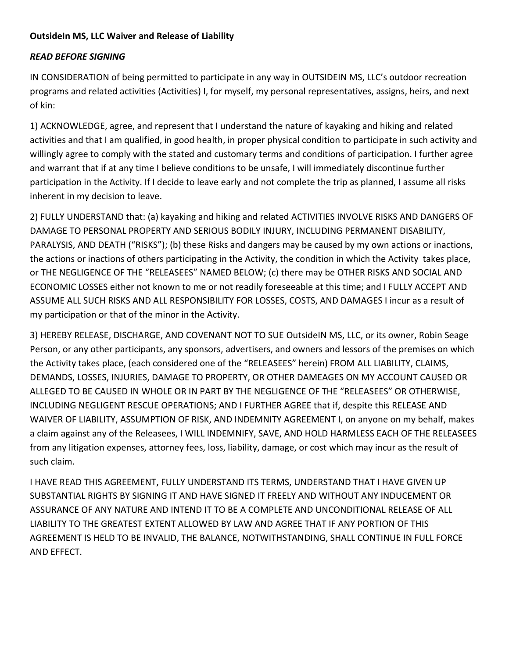## **OutsideIn MS, LLC Waiver and Release of Liability**

## *READ BEFORE SIGNING*

IN CONSIDERATION of being permitted to participate in any way in OUTSIDEIN MS, LLC's outdoor recreation programs and related activities (Activities) I, for myself, my personal representatives, assigns, heirs, and next of kin:

1) ACKNOWLEDGE, agree, and represent that I understand the nature of kayaking and hiking and related activities and that I am qualified, in good health, in proper physical condition to participate in such activity and willingly agree to comply with the stated and customary terms and conditions of participation. I further agree and warrant that if at any time I believe conditions to be unsafe, I will immediately discontinue further participation in the Activity. If I decide to leave early and not complete the trip as planned, I assume all risks inherent in my decision to leave.

2) FULLY UNDERSTAND that: (a) kayaking and hiking and related ACTIVITIES INVOLVE RISKS AND DANGERS OF DAMAGE TO PERSONAL PROPERTY AND SERIOUS BODILY INJURY, INCLUDING PERMANENT DISABILITY, PARALYSIS, AND DEATH ("RISKS"); (b) these Risks and dangers may be caused by my own actions or inactions, the actions or inactions of others participating in the Activity, the condition in which the Activity takes place, or THE NEGLIGENCE OF THE "RELEASEES" NAMED BELOW; (c) there may be OTHER RISKS AND SOCIAL AND ECONOMIC LOSSES either not known to me or not readily foreseeable at this time; and I FULLY ACCEPT AND ASSUME ALL SUCH RISKS AND ALL RESPONSIBILITY FOR LOSSES, COSTS, AND DAMAGES I incur as a result of my participation or that of the minor in the Activity.

3) HEREBY RELEASE, DISCHARGE, AND COVENANT NOT TO SUE OutsideIN MS, LLC, or its owner, Robin Seage Person, or any other participants, any sponsors, advertisers, and owners and lessors of the premises on which the Activity takes place, (each considered one of the "RELEASEES" herein) FROM ALL LIABILITY, CLAIMS, DEMANDS, LOSSES, INJURIES, DAMAGE TO PROPERTY, OR OTHER DAMEAGES ON MY ACCOUNT CAUSED OR ALLEGED TO BE CAUSED IN WHOLE OR IN PART BY THE NEGLIGENCE OF THE "RELEASEES" OR OTHERWISE, INCLUDING NEGLIGENT RESCUE OPERATIONS; AND I FURTHER AGREE that if, despite this RELEASE AND WAIVER OF LIABILITY, ASSUMPTION OF RISK, AND INDEMNITY AGREEMENT I, on anyone on my behalf, makes a claim against any of the Releasees, I WILL INDEMNIFY, SAVE, AND HOLD HARMLESS EACH OF THE RELEASEES from any litigation expenses, attorney fees, loss, liability, damage, or cost which may incur as the result of such claim.

I HAVE READ THIS AGREEMENT, FULLY UNDERSTAND ITS TERMS, UNDERSTAND THAT I HAVE GIVEN UP SUBSTANTIAL RIGHTS BY SIGNING IT AND HAVE SIGNED IT FREELY AND WITHOUT ANY INDUCEMENT OR ASSURANCE OF ANY NATURE AND INTEND IT TO BE A COMPLETE AND UNCONDITIONAL RELEASE OF ALL LIABILITY TO THE GREATEST EXTENT ALLOWED BY LAW AND AGREE THAT IF ANY PORTION OF THIS AGREEMENT IS HELD TO BE INVALID, THE BALANCE, NOTWITHSTANDING, SHALL CONTINUE IN FULL FORCE AND EFFECT.